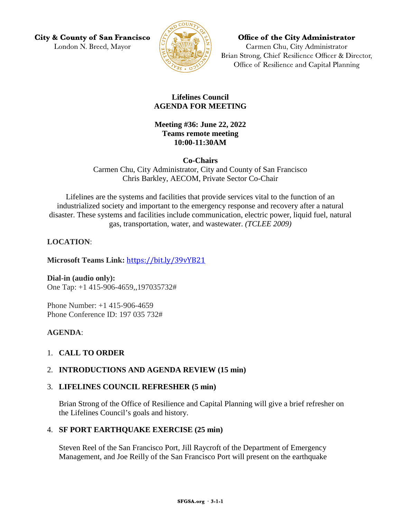**City & County of San Francisco** London N. Breed, Mayor



Office of the City Administrator Carmen Chu, City Administrator Brian Strong, Chief Resilience Officer & Director, Office of Resilience and Capital Planning

## **Lifelines Council AGENDA FOR MEETING**

**Meeting #36: June 22, 2022 Teams remote meeting 10:00-11:30AM**

**Co-Chairs** Carmen Chu, City Administrator, City and County of San Francisco Chris Barkley, AECOM, Private Sector Co-Chair

Lifelines are the systems and facilities that provide services vital to the function of an industrialized society and important to the emergency response and recovery after a natural disaster. These systems and facilities include communication, electric power, liquid fuel, natural gas, transportation, water, and wastewater. *(TCLEE 2009)*

# **LOCATION**:

**Microsoft Teams Link:** <https://bit.ly/39vYB21>

**Dial-in (audio only):** One Tap: +1 415-906-4659,,197035732#

Phone Number: +1 415-906-4659 Phone Conference ID: 197 035 732#

## **AGENDA**:

# 1. **CALL TO ORDER**

## 2. **INTRODUCTIONS AND AGENDA REVIEW (15 min)**

## 3. **LIFELINES COUNCIL REFRESHER (5 min)**

Brian Strong of the Office of Resilience and Capital Planning will give a brief refresher on the Lifelines Council's goals and history.

## 4. **SF PORT EARTHQUAKE EXERCISE (25 min)**

Steven Reel of the San Francisco Port, Jill Raycroft of the Department of Emergency Management, and Joe Reilly of the San Francisco Port will present on the earthquake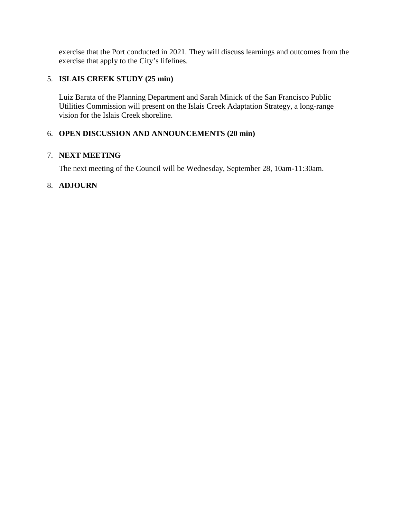exercise that the Port conducted in 2021. They will discuss learnings and outcomes from the exercise that apply to the City's lifelines.

# 5. **ISLAIS CREEK STUDY (25 min)**

Luiz Barata of the Planning Department and Sarah Minick of the San Francisco Public Utilities Commission will present on the Islais Creek Adaptation Strategy, a long-range vision for the Islais Creek shoreline.

## 6. **OPEN DISCUSSION AND ANNOUNCEMENTS (20 min)**

#### 7. **NEXT MEETING**

The next meeting of the Council will be Wednesday, September 28, 10am-11:30am.

## 8. **ADJOURN**